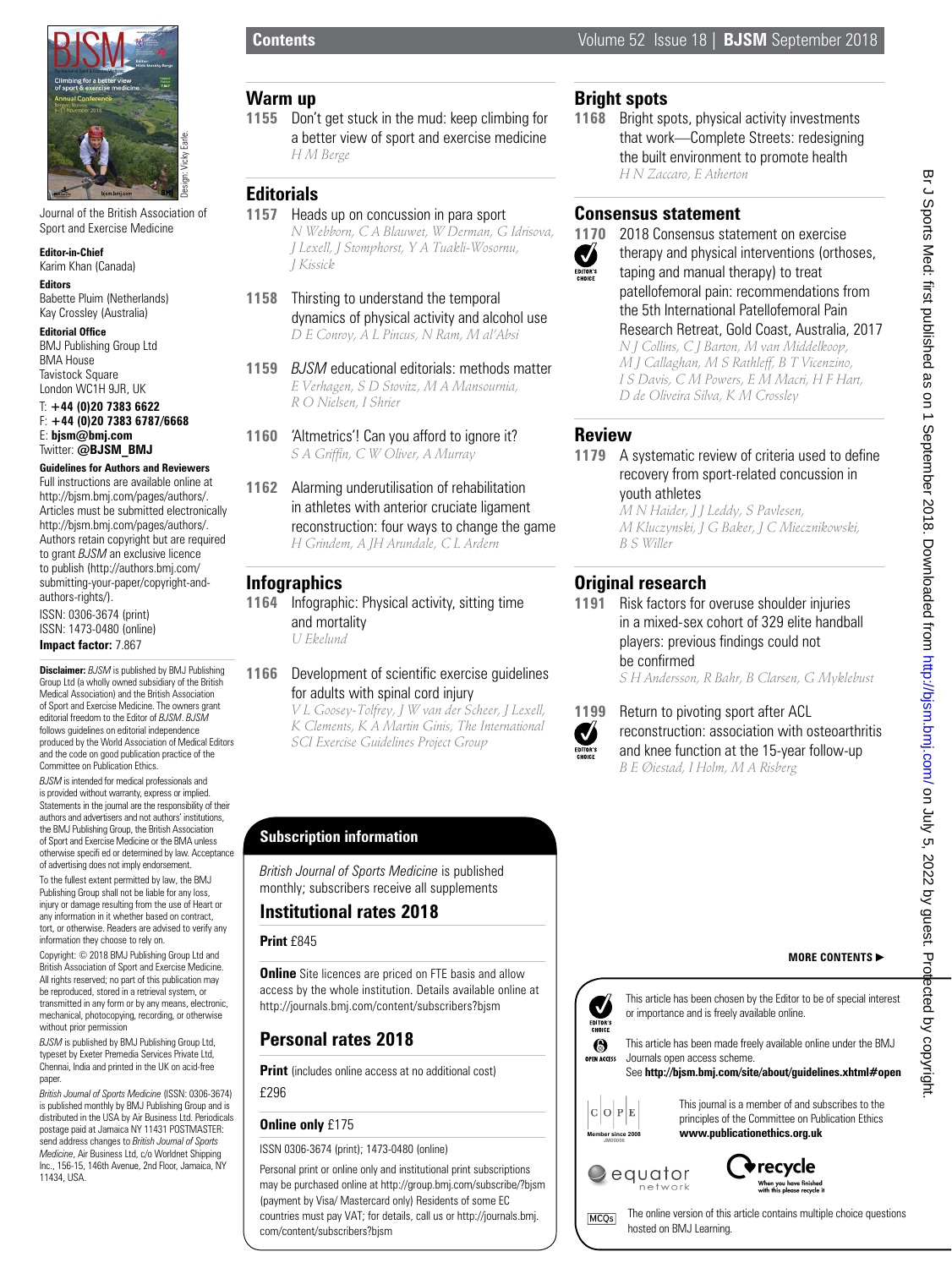

Journal of the British Association of Sport and Exercise Medicine

**Editor-in-Chief** Karim Khan (Canada)

**Editors** Babette Pluim (Netherlands) Kay Crossley (Australia)

**Editorial Office** BMJ Publishing Group Ltd BMA House Tavistock Square London WC1H 9JR, UK

#### T: **+44 (0)20 7383 6622** F: **+44 (0)20 7383 6787/6668** E: **bjsm@bmj.com** Twitter: **@BJSM\_BMJ**

#### **Guidelines for Authors and Reviewers** Full instructions are available online at

http://bjsm.bmj.com/pages/authors/. Articles must be submitted electronically http://bjsm.bmj.com/pages/authors/. Authors retain copyright but are required to grant *BJSM* an exclusive licence to publish (http://authors.bmj.com/ submitting-your-paper/copyright-andauthors-rights/). ISSN: 0306-3674 (print) ISSN: 1473-0480 (online) **Impact factor:** 7.867

**Disclaimer:** *BJSM* is published by BMJ Publishing Group Ltd (a wholly owned subsidiary of the British Medical Association) and the British Association of Sport and Exercise Medicine. The owners grant editorial freedom to the Editor of *BJSM*. *BJSM* follows guidelines on editorial independence produced by the World Association of Medical Editors and the code on good publication practice of the Committee on Publication Ethics.

*BJSM* is intended for medical professionals and is provided without warranty, express or implied. Statements in the journal are the responsibility of their authors and advertisers and not authors' institutions, the BMJ Publishing Group, the British Association of Sport and Exercise Medicine or the BMA unless otherwise specifi ed or determined by law. Acceptance of advertising does not imply endorsement. To the fullest extent permitted by law, the BMJ

Publishing Group shall not be liable for any loss, injury or damage resulting from the use of Heart or any information in it whether based on contract, tort, or otherwise. Readers are advised to verify any information they choose to rely on.

Copyright: © 2018 BMJ Publishing Group Ltd and British Association of Sport and Exercise Medicine. All rights reserved; no part of this publication may be reproduced, stored in a retrieval system, or transmitted in any form or by any means, electronic, mechanical, photocopying, recording, or otherwise without prior permission

*BJSM* is published by BMJ Publishing Group Ltd, typeset by Exeter Premedia Services Private Ltd, Chennai, India and printed in the UK on acid-free paper.

*British Journal of Sports Medicine* (ISSN: 0306-3674) is published monthly by BMJ Publishing Group and is distributed in the USA by Air Business Ltd. Periodicals postage paid at Jamaica NY 11431 POSTMASTER: send address changes to *British Journal of Sports Medicine*, Air Business Ltd, c/o Worldnet Shipping Inc., 156-15, 146th Avenue, 2nd Floor, Jamaica, NY 11434, USA.

## **Warm up**

**1155** Don't get stuck in the mud: keep climbing for a better view of sport and exercise medicine *H M Berge*

## **Editorials**

- **1157** Heads up on concussion in para sport *N Webborn, C A Blauwet, W Derman, G Idrisova, J Lexell, J Stomphorst, Y A Tuakli-Wosornu, J Kissick*
- **1158** Thirsting to understand the temporal dynamics of physical activity and alcohol use *D E Conroy, A L Pincus, N Ram, M al'Absi*
- **1159** *BJSM* educational editorials: methods matter *E Verhagen, S D Stovitz, M A Mansournia, R O Nielsen, I Shrier*
- **1160** 'Altmetrics'! Can you afford to ignore it? *S A Griffin, C W Oliver, A Murray*
- **1162** Alarming underutilisation of rehabilitation in athletes with anterior cruciate ligament reconstruction: four ways to change the game *H Grindem, A JH Arundale, C L Ardern*

## **Infographics**

**1164** Infographic: Physical activity, sitting time and mortality *U Ekelund*

#### **1166** Development of scientific exercise guidelines for adults with spinal cord injury

*V L Goosey-Tolfrey, J W van der Scheer, J Lexell, K Clements, K A Martin Ginis, The International SCI Exercise Guidelines Project Group*

## **Subscription information**

*British Journal of Sports Medicine* is published monthly; subscribers receive all supplements

## **Institutional rates 2018**

### **Print** £845

**Online** Site licences are priced on FTE basis and allow access by the whole institution. Details available online at http://journals.bmj.com/content/subscribers?bjsm

## **Personal rates 2018**

**Print** (includes online access at no additional cost)

£296

## **Online only** £175

ISSN 0306-3674 (print); 1473-0480 (online)

Personal print or online only and institutional print subscriptions may be purchased online at http://group.bmj.com/subscribe/?bjsm (payment by Visa/ Mastercard only) Residents of some EC countries must pay VAT; for details, call us or http://journals.bmj. com/content/subscribers?bjsm

# **Bright spots**

**1168** Bright spots, physical activity investments that work—Complete Streets: redesigning the built environment to promote health *H N Zaccaro, E Atherton*

## **Consensus statement**



**1170** 2018 Consensus statement on exercise therapy and physical interventions (orthoses, taping and manual therapy) to treat patellofemoral pain: recommendations from the 5th International Patellofemoral Pain Research Retreat, Gold Coast, Australia, 2017 *N J Collins, C J Barton, M van Middelkoop, M J Callaghan, M S Rathleff, B T Vicenzino, I S Davis, C M Powers, E M Macri, H F Hart, D de Oliveira Silva, K M Crossley*

## **Review**

**1179** A systematic review of criteria used to define recovery from sport-related concussion in youth athletes

*M N Haider, J J Leddy, S Pavlesen, M Kluczynski, J G Baker, J C Miecznikowski, B S Willer*

# **Original research**

**1191** Risk factors for overuse shoulder injuries in a mixed-sex cohort of 329 elite handball players: previous findings could not be confirmed

*S H Andersson, R Bahr, B Clarsen, G Myklebust*



**1199** Return to pivoting sport after ACL reconstruction: association with osteoarthritis and knee function at the 15-year follow-up *B E Øiestad, I Holm, M A Risberg*

## **MORE CONTENTS**



This article has been chosen by the Editor to be of special interest or importance and is freely available online.



### See **http://bjsm.bmj.com/site/about/guidelines.xhtml#open**



MCQ<sub>s</sub>

This journal is a member of and subscribes to the principles of the Committee on Publication Ethics **www.publicationethics.org.uk**





The online version of this article contains multiple choice questions hosted on BMJ Learning.